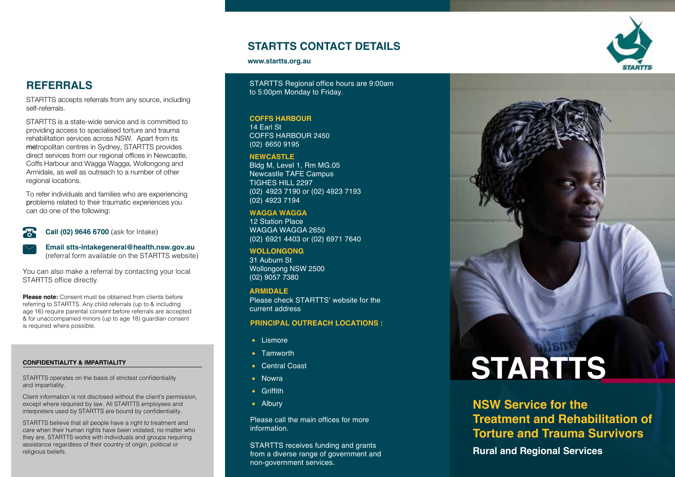# **STARTTS CONTACT DETAILS**

#### **www.startts.org.au**

STARTTS Regional office hours are 9:00am to 5:00pm Monday to Friday.

#### **COffS HARbOuR**

14 Earl St COFFS HARBOUR 2450 (02) 6650 9195

#### **NEwCASTLE**

Bldg M, Level 1, Rm MG.05 Newcastle TAFE Campus TIGHES HILL 2297 (02) 4923 7190 or (02) 4923 7193 (02) 4923 7194

#### **wAggA wAggA**

12 Station Place WAGGA WAGGA 2650 (02) 6921 4403 or (02) 6971 7640

WOLLONGONG 31 Auburn St Wollongong NSW 2500 (02) 9057 7380

#### **ARMIDALE**

Please check STARTTS' website for the current address

#### **PRINCIPAL OUTREACH LOCATIONS :**

- Lismore
- Tamworth
- Central Coast
- Nowra
- Griffith
- Albury

Please call the main offices for more information.

STARTTS receives funding and grants from a diverse range of government and non-government services.

# **STARTTS**

**NSW Service for the Treatment and Rehabilitation of Torture and Trauma Survivors**

**Rural and Regional Services**

# **REfERRALS**

STARTTS accepts referrals from any source, including self-referrals.

STARTTS is a state-wide service and is committed to providing access to specialised torture and trauma rehabilitation services across NSW. Apart from its metropolitan centres in Sydney, STARTTS provides direct services from our regional offices in Newcastle, Coffs Harbour and Wagga Wagga, Wollongong and Armidale, as well as outreach to a number of other regional locations.

To refer individuals and families who are experiencing problems related to their traumatic experiences you can do one of the following:

#### **Call (02) 9646 6700** (ask for Intake)

STARTTS office directly.

is required where possible.

**Email [stts-intakegeneral@health.nsw.gov.au](mailto:stts-intakegeneral@health.nsw.gov.au)** (referral form available on the STARTTS website)

You can also make a referral by contacting your local

**Please note:** Consent must be obtained from clients before referring to STARTTS. Any child referrals (up to & including age 16) require parental consent before referrals are accepted & for unaccompanied minors (up to age 18) guardian consent

#### **Confidentiality & Impartiality**

STARTTS operates on the basis of strictest confidentiality and impartiality.

Client information is not disclosed without the client's permission, except where required by law. All STARTTS employees and interpreters used by STARTTS are bound by confidentiality.

STARTTS believe that all people have a right to treatment and care when their human rights have been violated, no matter who they are. STARTTS works with individuals and groups requiring assistance regardless of their country of origin, political or religious beliefs.